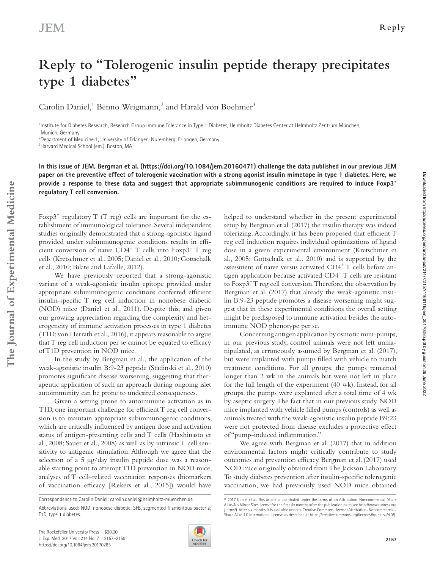**The Journal of Experimental Medicine**

The Journal of Experimental Medicine

# Downloaded from http://rupress.org/jem/article-pdf/214/7/2157/1168116/jem\_20170285.pdf by guest on 26 June 2022 Downloaded from http://rupress.org/jem/article-pdf/214/7/2157/1168116/jem\_20170285.pdf by guest on 26 June 2022

# **Reply to "Tolerogenic insulin peptide therapy precipitates type 1 diabetes"**

Carolin Daniel,<sup>1</sup> Benno Weigmann,<sup>2</sup> and Harald von Boehmer<sup>3</sup>

<sup>1</sup>Institute for Diabetes Research, Research Group Immune Tolerance in Type 1 Diabetes, Helmholtz Diabetes Center at Helmholtz Zentrum München, Munich, Germany

 $^{2}$ Department of Medicine 1, University of Erlangen-Nuremberg, Erlangen, Germany

3 Harvard Medical School (em.), Boston, MA

**In this issue of JEM, Bergman et al. (<https://doi.org/10.1084/jem.20160471>) challenge the data published in our previous JEM paper on the preventive effect of tolerogenic vaccination with a strong agonist insulin mimetope in type 1 diabetes. Here, we provide a response to these data and suggest that appropriate subimmunogenic conditions are required to induce Foxp3<sup>+</sup> regulatory T cell conversion.**

Foxp $3^+$  regulatory T (T reg) cells are important for the establishment of immunological tolerance. Several independent studies originally demonstrated that a strong-agonistic ligand provided under subimmunogenic conditions results in efficient conversion of naive  $CD4^+$  T cells into  $F\text{exp3}^+$  T reg cells ([Kretschmer et al., 2005](#page-2-0); [Daniel et al., 2010;](#page-1-0) [Gottschalk](#page-1-1)  [et al., 2010](#page-1-1); [Bilate and Lafaille, 2012\)](#page-1-2).

We have previously reported that a strong-agonistic variant of a weak-agonistic insulin epitope provided under appropriate subimmunogenic conditions conferred efficient insulin-specific T reg cell induction in nonobese diabetic (NOD) mice ([Daniel et al., 2011](#page-1-3)). Despite this, and given our growing appreciation regarding the complexity and heterogeneity of immune activation processes in type 1 diabetes (T1D; [von Herrath et al., 2016](#page-2-1)), it appears reasonable to argue that T reg cell induction per se cannot be equated to efficacy of T1D prevention in NOD mice.

In the study by Bergman et al., the application of the weak-agonistic insulin B:9-23 peptide [\(Stadinski et al., 2010\)](#page-2-2) promotes significant disease worsening, suggesting that therapeutic application of such an approach during ongoing islet autoimmunity can be prone to undesired consequences.

Given a setting prone to autoimmune activation as in T1D, one important challenge for efficient T reg cell conversion is to maintain appropriate subimmunogenic conditions, which are critically influenced by antigen dose and activation status of antigen-presenting cells and T cells [\(Haxhinasto et](#page-2-3)  [al., 2008](#page-2-3); [Sauer et al., 2008\)](#page-2-4) as well as by intrinsic T cell sensitivity to antigenic stimulation. Although we agree that the selection of a 5  $\mu$ g/day insulin peptide dose was a reasonable starting point to attempt T1D prevention in NOD mice, analyses of T cell–related vaccination responses (biomarkers of vaccination efficacy [\[Rekers et al., 2015](#page-2-5)]) would have

helped to understand whether in the present experimental setup by [Bergman et al. \(2017\)](#page-1-4) the insulin therapy was indeed tolerizing. Accordingly, it has been proposed that efficient T reg cell induction requires individual optimizations of ligand dose in a given experimental environment ([Kretschmer et](#page-2-0)  [al., 2005;](#page-2-0) [Gottschalk et al., 2010\)](#page-1-1) and is supported by the assessment of naive versus activated CD4+ T cells before antigen application because activated  $CD4^+T$  cells are resistant to  $F\exp 3^+T$  reg cell conversion. Therefore, the observation by [Bergman et al. \(2017\)](#page-1-4) that already the weak-agonistic insulin B:9-23 peptide promotes a disease worsening might suggest that in these experimental conditions the overall setting might be predisposed to immune activation besides the autoimmune NOD phenotype per se.

Concerning antigen application by osmotic mini-pumps, in our previous study, control animals were not left unmanipulated, as erroneously assumed by [Bergman et al. \(2017\)](#page-1-4), but were implanted with pumps filled with vehicle to match treatment conditions. For all groups, the pumps remained longer than 2 wk in the animals but were not left in place for the full length of the experiment (40 wk). Instead, for all groups, the pumps were explanted after a total time of 4 wk by aseptic surgery. The fact that in our previous study NOD mice implanted with vehicle filled pumps (controls) as well as animals treated with the weak-agonistic insulin peptide B9:23 were not protected from disease excludes a protective effect of "pump-induced inflammation."

We agree with [Bergman et al. \(2017\)](#page-1-4) that in addition environmental factors might critically contribute to study outcomes and prevention efficacy. [Bergman et al. \(2017\)](#page-1-4) used NOD mice originally obtained from The Jackson Laboratory. To study diabetes prevention after insulin-specific tolerogenic vaccination, we had previously used NOD mice obtained



Correspondence to Carolin Daniel: [carolin.daniel@helmholtz-muenchen.de](mailto:)

Abbreviations used: NOD, nonobese diabetic; SFB, segmented filamentous bacteria; T1D, type 1 diabetes.

<sup>© 2017</sup> Daniel et al. This article is distributed under the terms of an Attribution–Noncommercial–Share Alike–No Mirror Sites license for the first six months after the publication date (see [http://www.rupress.org](http://www.rupress.org/terms/) [/terms/](http://www.rupress.org/terms/)). After six months it is available under a Creative Commons License (Attribution–Noncommercial– Share Alike 4.0 International license, as described at<https://creativecommons.org/licenses/by-nc-sa/4.0/>).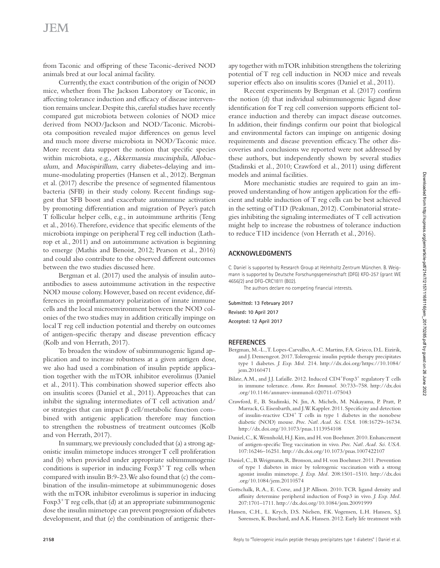# **JEM**

from Taconic and offspring of these Taconic-derived NOD animals bred at our local animal facility.

Currently, the exact contribution of the origin of NOD mice, whether from The Jackson Laboratory or Taconic, in affecting tolerance induction and efficacy of disease intervention remains unclear. Despite this, careful studies have recently compared gut microbiota between colonies of NOD mice derived from NOD/Jackson and NOD/Taconic. Microbiota composition revealed major differences on genus level and much more diverse microbiota in NOD/Taconic mice. More recent data support the notion that specific species within microbiota, e.g., Akkermansia muciniphila, Allobaculum, and Mucispirillum, carry diabetes-delaying and immune-modulating properties ([Hansen et al., 2012](#page-1-5)). [Bergman](#page-1-4) [et al. \(2017\)](#page-1-4) describe the presence of segmented filamentous bacteria (SFB) in their study colony. Recent findings suggest that SFB boost and exacerbate autoimmune activation by promoting differentiation and migration of Peyer's patch T follicular helper cells, e.g., in autoimmune arthritis [\(Teng](#page-2-6) [et al., 2016\)](#page-2-6). Therefore, evidence that specific elements of the microbiota impinge on peripheral T reg cell induction [\(Lath](#page-2-7)[rop et al., 2011\)](#page-2-7) and on autoimmune activation is beginning to emerge [\(Mathis and Benoist, 2012;](#page-2-8) [Pearson et al., 2016\)](#page-2-9) and could also contribute to the observed different outcomes between the two studies discussed here.

[Bergman et al. \(2017\)](#page-1-4) used the analysis of insulin autoantibodies to assess autoimmune activation in the respective NOD mouse colony. However, based on recent evidence, differences in proinflammatory polarization of innate immune cells and the local microenvironment between the NOD colonies of the two studies may in addition critically impinge on local T reg cell induction potential and thereby on outcomes of antigen-specific therapy and disease prevention efficacy [\(Kolb and von Herrath, 2017](#page-2-10)).

To broaden the window of subimmunogenic ligand application and to increase robustness at a given antigen dose, we also had used a combination of insulin peptide application together with the mTOR inhibitor everolimus ([Daniel](#page-1-3) [et al., 2011](#page-1-3)). This combination showed superior effects also on insulitis scores ([Daniel et al., 2011](#page-1-3)). Approaches that can inhibit the signaling intermediates of T cell activation and/ or strategies that can impact β cell/metabolic function combined with antigenic application therefore may function to strengthen the robustness of treatment outcomes ([Kolb](#page-2-10) [and von Herrath, 2017\)](#page-2-10).

In summary, we previously concluded that (a) a strong agonistic insulin mimetope induces stronger T cell proliferation and (b) when provided under appropriate subimmunogenic conditions is superior in inducing  $F\exp 3^+T$  reg cells when compared with insulin B:9-23. We also found that (c) the combination of the insulin-mimetope at subimmunogenic doses with the mTOR inhibitor everolimus is superior in inducing Foxp $3<sup>+</sup>$ T reg cells, that (d) at an appropriate subimmunogenic dose the insulin mimetope can prevent progression of diabetes development, and that (e) the combination of antigenic therapy together with mTOR inhibition strengthens the tolerizing potential of T reg cell induction in NOD mice and reveals superior effects also on insulitis scores [\(Daniel et al., 2011](#page-1-3)).

Recent experiments by [Bergman et al. \(2017\)](#page-1-4) confirm the notion (d) that individual subimmunogenic ligand dose identification for T reg cell conversion supports efficient tolerance induction and thereby can impact disease outcomes. In addition, their findings confirm our point that biological and environmental factors can impinge on antigenic dosing requirements and disease prevention efficacy. The other discoveries and conclusions we reported were not addressed by these authors, but independently shown by several studies [\(Stadinski et al., 2010;](#page-2-2) [Crawford et al., 2011](#page-1-6)) using different models and animal facilities.

More mechanistic studies are required to gain an improved understanding of how antigen application for the efficient and stable induction of T reg cells can be best achieved in the setting of T1D [\(Peakman, 2012\)](#page-2-11). Combinatorial strategies inhibiting the signaling intermediates of T cell activation might help to increase the robustness of tolerance induction to reduce T1D incidence ([von Herrath et al., 2016](#page-2-1)).

## **Acknowledgments**

C. Daniel is supported by Research Group at Helmholtz Zentrum München. B. Weigmann is supported by Deutsche Forschungsgemeinschaft (DFG) KFO-257 (grant WE 4656/2) and DFG-CRC1811 (B02).

The authors declare no competing financial interests.

**Submitted: 13 February 2017 Revised: 10 April 2017 Accepted: 12 April 2017**

### **References**

- <span id="page-1-4"></span>Bergman, M.-L., T. Lopes-Carvalho, A.-C. Martins, F.A. Grieco, D.L. Eizirik, and J. Demengeot. 2017. Tolerogenic insulin peptide therapy precipitates type 1 diabetes. *J. Exp. Med.* 214. [http://dx.doi.org/https://10.1084/](http://dx.doi.org/https://10.1084/jem.20160471) [jem.20160471](http://dx.doi.org/https://10.1084/jem.20160471)
- <span id="page-1-2"></span>Bilate, A.M., and J.J. Lafaille. 2012. Induced CD4<sup>+</sup>Foxp3<sup>+</sup> regulatory T cells in immune tolerance. *Annu. Rev. Immunol.* 30:733–758. [http://dx.doi](http://dx.doi.org/10.1146/annurev-immunol-020711-075043) [.org/10.1146/annurev-immunol-020711-075043](http://dx.doi.org/10.1146/annurev-immunol-020711-075043)
- <span id="page-1-6"></span>Crawford, F., B. Stadinski, N. Jin, A. Michels, M. Nakayama, P. Pratt, P. Marrack, G. Eisenbarth, and J.W. Kappler. 2011. Specificity and detection of insulin-reactive  $CD4^+$  T cells in type 1 diabetes in the nonobese diabetic (NOD) mouse. *Proc. Natl. Acad. Sci. USA.* 108:16729–16734. <http://dx.doi.org/10.1073/pnas.1113954108>
- <span id="page-1-0"></span>Daniel, C., K. Wennhold, H.J. Kim, and H. von Boehmer. 2010. Enhancement of antigen-specific Treg vaccination in vivo. *Proc. Natl. Acad. Sci. USA.* 107:16246–16251.<http://dx.doi.org/10.1073/pnas.1007422107>
- <span id="page-1-3"></span>Daniel, C., B. Weigmann, R. Bronson, and H. von Boehmer. 2011. Prevention of type 1 diabetes in mice by tolerogenic vaccination with a strong agonist insulin mimetope. *J. Exp. Med.* 208:1501–1510. [http://dx.doi](http://dx.doi.org/10.1084/jem.20110574) [.org/10.1084/jem.20110574](http://dx.doi.org/10.1084/jem.20110574)
- <span id="page-1-1"></span>Gottschalk, R.A., E. Corse, and J.P. Allison. 2010. TCR ligand density and affinity determine peripheral induction of Foxp3 in vivo. *J. Exp. Med.* 207:1701–1711. <http://dx.doi.org/10.1084/jem.20091999>
- <span id="page-1-5"></span>Hansen, C.H., L. Krych, D.S. Nielsen, F.K. Vogensen, L.H. Hansen, S.J. Sørensen, K. Buschard, and A.K. Hansen. 2012. Early life treatment with